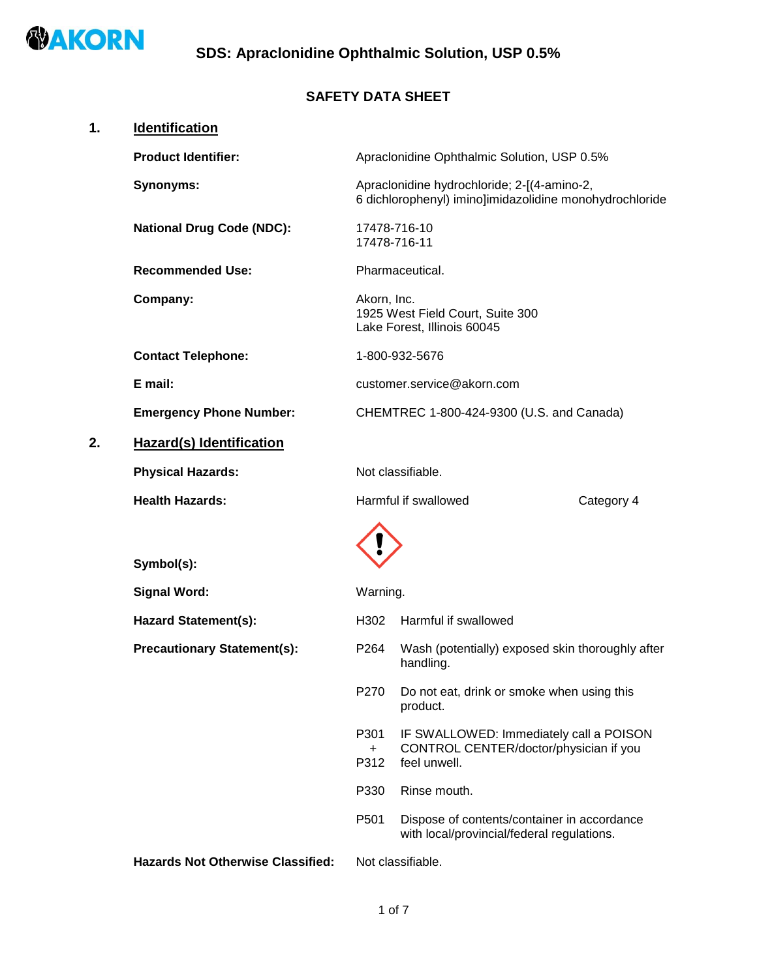

# **SAFETY DATA SHEET**

| 1. | Identification                           |                     |                                                                                                        |            |
|----|------------------------------------------|---------------------|--------------------------------------------------------------------------------------------------------|------------|
|    | <b>Product Identifier:</b>               |                     | Apraclonidine Ophthalmic Solution, USP 0.5%                                                            |            |
|    | Synonyms:                                |                     | Apraclonidine hydrochloride; 2-[(4-amino-2,<br>6 dichlorophenyl) imino]imidazolidine monohydrochloride |            |
|    | <b>National Drug Code (NDC):</b>         |                     | 17478-716-10<br>17478-716-11                                                                           |            |
|    | <b>Recommended Use:</b>                  |                     | Pharmaceutical.                                                                                        |            |
|    | Company:                                 | Akorn, Inc.         | 1925 West Field Court, Suite 300<br>Lake Forest, Illinois 60045                                        |            |
|    | <b>Contact Telephone:</b>                |                     | 1-800-932-5676                                                                                         |            |
|    | E mail:                                  |                     | customer.service@akorn.com                                                                             |            |
|    | <b>Emergency Phone Number:</b>           |                     | CHEMTREC 1-800-424-9300 (U.S. and Canada)                                                              |            |
| 2. | <b>Hazard(s) Identification</b>          |                     |                                                                                                        |            |
|    | <b>Physical Hazards:</b>                 |                     | Not classifiable.                                                                                      |            |
|    | <b>Health Hazards:</b>                   |                     | Harmful if swallowed                                                                                   | Category 4 |
|    | Symbol(s):                               |                     |                                                                                                        |            |
|    | <b>Signal Word:</b>                      | Warning.            |                                                                                                        |            |
|    | <b>Hazard Statement(s):</b>              | H302                | Harmful if swallowed                                                                                   |            |
|    | <b>Precautionary Statement(s):</b>       | P <sub>264</sub>    | Wash (potentially) exposed skin thoroughly after<br>handling.                                          |            |
|    |                                          | P270                | Do not eat, drink or smoke when using this<br>product.                                                 |            |
|    |                                          | P301<br>$+$<br>P312 | IF SWALLOWED: Immediately call a POISON<br>CONTROL CENTER/doctor/physician if you<br>feel unwell.      |            |
|    |                                          | P330                | Rinse mouth.                                                                                           |            |
|    |                                          | P501                | Dispose of contents/container in accordance<br>with local/provincial/federal regulations.              |            |
|    | <b>Hazards Not Otherwise Classified:</b> |                     | Not classifiable.                                                                                      |            |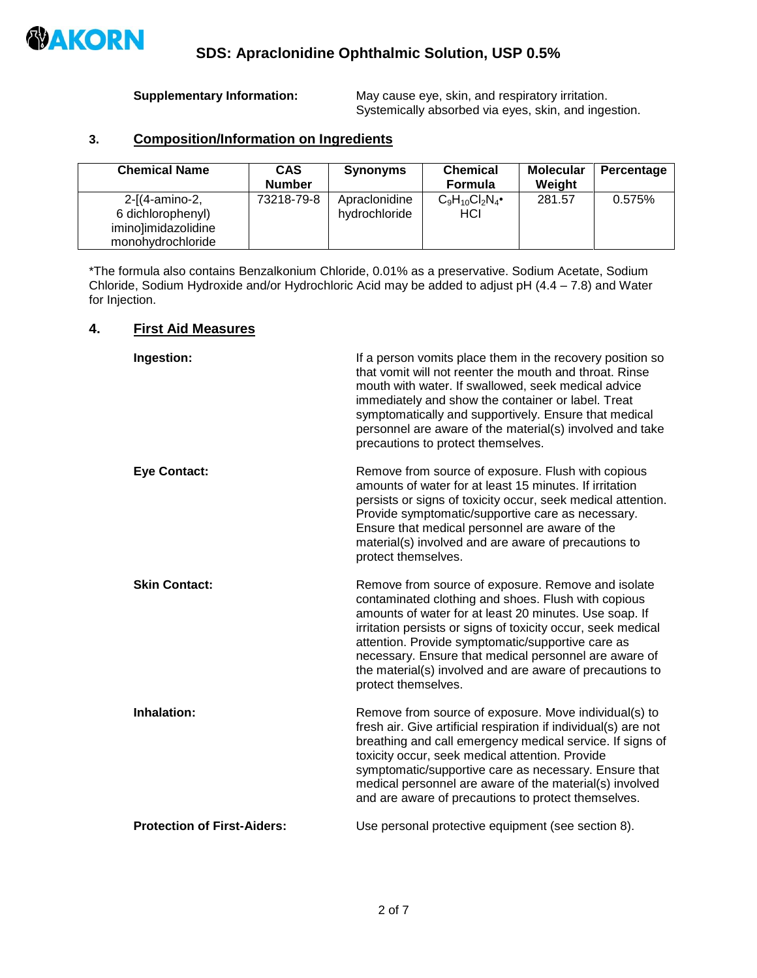

**Supplementary Information:** May cause eye, skin, and respiratory irritation. Systemically absorbed via eyes, skin, and ingestion.

### **3. Composition/Information on Ingredients**

| <b>Chemical Name</b>                                                            | <b>CAS</b><br><b>Number</b> | <b>Synonyms</b>                | <b>Chemical</b><br><b>Formula</b> | <b>Molecular</b><br>Weight | Percentage |
|---------------------------------------------------------------------------------|-----------------------------|--------------------------------|-----------------------------------|----------------------------|------------|
| 2-[(4-amino-2,<br>6 dichlorophenyl)<br>imino]imidazolidine<br>monohydrochloride | 73218-79-8                  | Apraclonidine<br>hydrochloride | $C_9H_{10}Cl_2N_4$<br>HCI         | 281.57                     | 0.575%     |

\*The formula also contains Benzalkonium Chloride, 0.01% as a preservative. Sodium Acetate, Sodium Chloride, Sodium Hydroxide and/or Hydrochloric Acid may be added to adjust pH (4.4 – 7.8) and Water for Injection.

#### **4. First Aid Measures**

| Ingestion:                         | If a person vomits place them in the recovery position so<br>that vomit will not reenter the mouth and throat. Rinse<br>mouth with water. If swallowed, seek medical advice<br>immediately and show the container or label. Treat<br>symptomatically and supportively. Ensure that medical<br>personnel are aware of the material(s) involved and take<br>precautions to protect themselves.                                         |
|------------------------------------|--------------------------------------------------------------------------------------------------------------------------------------------------------------------------------------------------------------------------------------------------------------------------------------------------------------------------------------------------------------------------------------------------------------------------------------|
| <b>Eye Contact:</b>                | Remove from source of exposure. Flush with copious<br>amounts of water for at least 15 minutes. If irritation<br>persists or signs of toxicity occur, seek medical attention.<br>Provide symptomatic/supportive care as necessary.<br>Ensure that medical personnel are aware of the<br>material(s) involved and are aware of precautions to<br>protect themselves.                                                                  |
| <b>Skin Contact:</b>               | Remove from source of exposure. Remove and isolate<br>contaminated clothing and shoes. Flush with copious<br>amounts of water for at least 20 minutes. Use soap. If<br>irritation persists or signs of toxicity occur, seek medical<br>attention. Provide symptomatic/supportive care as<br>necessary. Ensure that medical personnel are aware of<br>the material(s) involved and are aware of precautions to<br>protect themselves. |
| Inhalation:                        | Remove from source of exposure. Move individual(s) to<br>fresh air. Give artificial respiration if individual(s) are not<br>breathing and call emergency medical service. If signs of<br>toxicity occur, seek medical attention. Provide<br>symptomatic/supportive care as necessary. Ensure that<br>medical personnel are aware of the material(s) involved<br>and are aware of precautions to protect themselves.                  |
| <b>Protection of First-Aiders:</b> | Use personal protective equipment (see section 8).                                                                                                                                                                                                                                                                                                                                                                                   |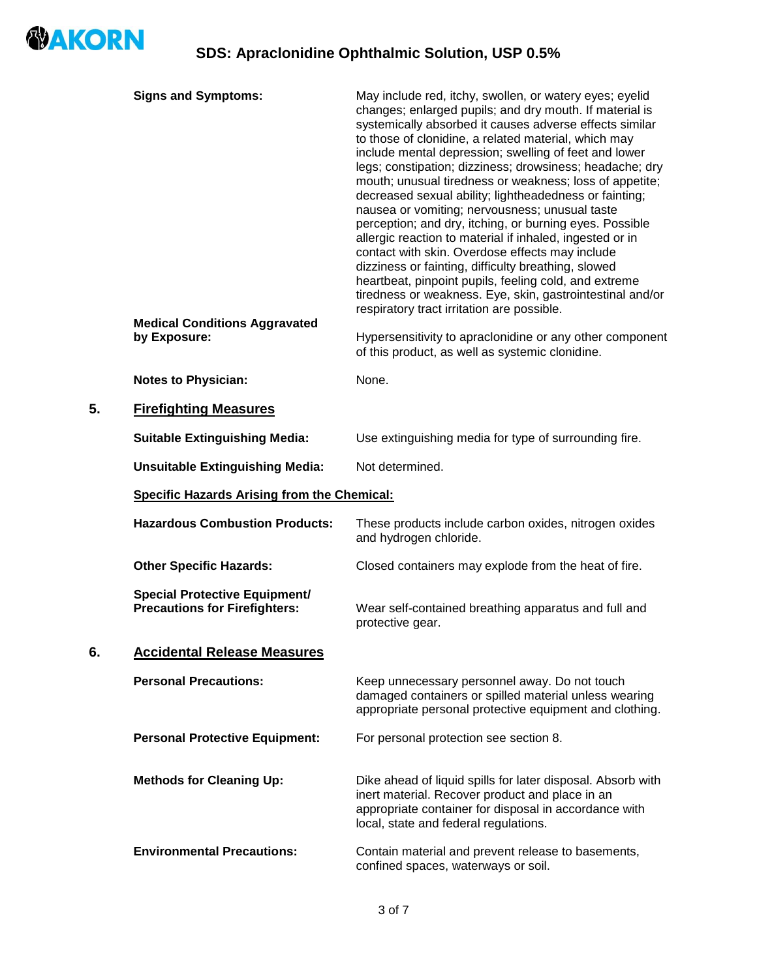

|    | <b>Signs and Symptoms:</b><br><b>Medical Conditions Aggravated</b>           | May include red, itchy, swollen, or watery eyes; eyelid<br>changes; enlarged pupils; and dry mouth. If material is<br>systemically absorbed it causes adverse effects similar<br>to those of clonidine, a related material, which may<br>include mental depression; swelling of feet and lower<br>legs; constipation; dizziness; drowsiness; headache; dry<br>mouth; unusual tiredness or weakness; loss of appetite;<br>decreased sexual ability; lightheadedness or fainting;<br>nausea or vomiting; nervousness; unusual taste<br>perception; and dry, itching, or burning eyes. Possible<br>allergic reaction to material if inhaled, ingested or in<br>contact with skin. Overdose effects may include<br>dizziness or fainting, difficulty breathing, slowed<br>heartbeat, pinpoint pupils, feeling cold, and extreme<br>tiredness or weakness. Eye, skin, gastrointestinal and/or<br>respiratory tract irritation are possible. |  |  |
|----|------------------------------------------------------------------------------|----------------------------------------------------------------------------------------------------------------------------------------------------------------------------------------------------------------------------------------------------------------------------------------------------------------------------------------------------------------------------------------------------------------------------------------------------------------------------------------------------------------------------------------------------------------------------------------------------------------------------------------------------------------------------------------------------------------------------------------------------------------------------------------------------------------------------------------------------------------------------------------------------------------------------------------|--|--|
|    | by Exposure:                                                                 | Hypersensitivity to apraclonidine or any other component<br>of this product, as well as systemic clonidine.                                                                                                                                                                                                                                                                                                                                                                                                                                                                                                                                                                                                                                                                                                                                                                                                                            |  |  |
|    | <b>Notes to Physician:</b>                                                   | None.                                                                                                                                                                                                                                                                                                                                                                                                                                                                                                                                                                                                                                                                                                                                                                                                                                                                                                                                  |  |  |
| 5. | <b>Firefighting Measures</b>                                                 |                                                                                                                                                                                                                                                                                                                                                                                                                                                                                                                                                                                                                                                                                                                                                                                                                                                                                                                                        |  |  |
|    | <b>Suitable Extinguishing Media:</b>                                         | Use extinguishing media for type of surrounding fire.                                                                                                                                                                                                                                                                                                                                                                                                                                                                                                                                                                                                                                                                                                                                                                                                                                                                                  |  |  |
|    | <b>Unsuitable Extinguishing Media:</b>                                       | Not determined.                                                                                                                                                                                                                                                                                                                                                                                                                                                                                                                                                                                                                                                                                                                                                                                                                                                                                                                        |  |  |
|    | <b>Specific Hazards Arising from the Chemical:</b>                           |                                                                                                                                                                                                                                                                                                                                                                                                                                                                                                                                                                                                                                                                                                                                                                                                                                                                                                                                        |  |  |
|    | <b>Hazardous Combustion Products:</b>                                        | These products include carbon oxides, nitrogen oxides<br>and hydrogen chloride.                                                                                                                                                                                                                                                                                                                                                                                                                                                                                                                                                                                                                                                                                                                                                                                                                                                        |  |  |
|    | <b>Other Specific Hazards:</b>                                               | Closed containers may explode from the heat of fire.                                                                                                                                                                                                                                                                                                                                                                                                                                                                                                                                                                                                                                                                                                                                                                                                                                                                                   |  |  |
|    | <b>Special Protective Equipment/</b><br><b>Precautions for Firefighters:</b> | Wear self-contained breathing apparatus and full and<br>protective gear.                                                                                                                                                                                                                                                                                                                                                                                                                                                                                                                                                                                                                                                                                                                                                                                                                                                               |  |  |
| 6. | <b>Accidental Release Measures</b>                                           |                                                                                                                                                                                                                                                                                                                                                                                                                                                                                                                                                                                                                                                                                                                                                                                                                                                                                                                                        |  |  |
|    | <b>Personal Precautions:</b>                                                 | Keep unnecessary personnel away. Do not touch<br>damaged containers or spilled material unless wearing<br>appropriate personal protective equipment and clothing.                                                                                                                                                                                                                                                                                                                                                                                                                                                                                                                                                                                                                                                                                                                                                                      |  |  |
|    | <b>Personal Protective Equipment:</b>                                        | For personal protection see section 8.                                                                                                                                                                                                                                                                                                                                                                                                                                                                                                                                                                                                                                                                                                                                                                                                                                                                                                 |  |  |
|    | <b>Methods for Cleaning Up:</b>                                              | Dike ahead of liquid spills for later disposal. Absorb with<br>inert material. Recover product and place in an<br>appropriate container for disposal in accordance with<br>local, state and federal regulations.                                                                                                                                                                                                                                                                                                                                                                                                                                                                                                                                                                                                                                                                                                                       |  |  |
|    | <b>Environmental Precautions:</b>                                            | Contain material and prevent release to basements,                                                                                                                                                                                                                                                                                                                                                                                                                                                                                                                                                                                                                                                                                                                                                                                                                                                                                     |  |  |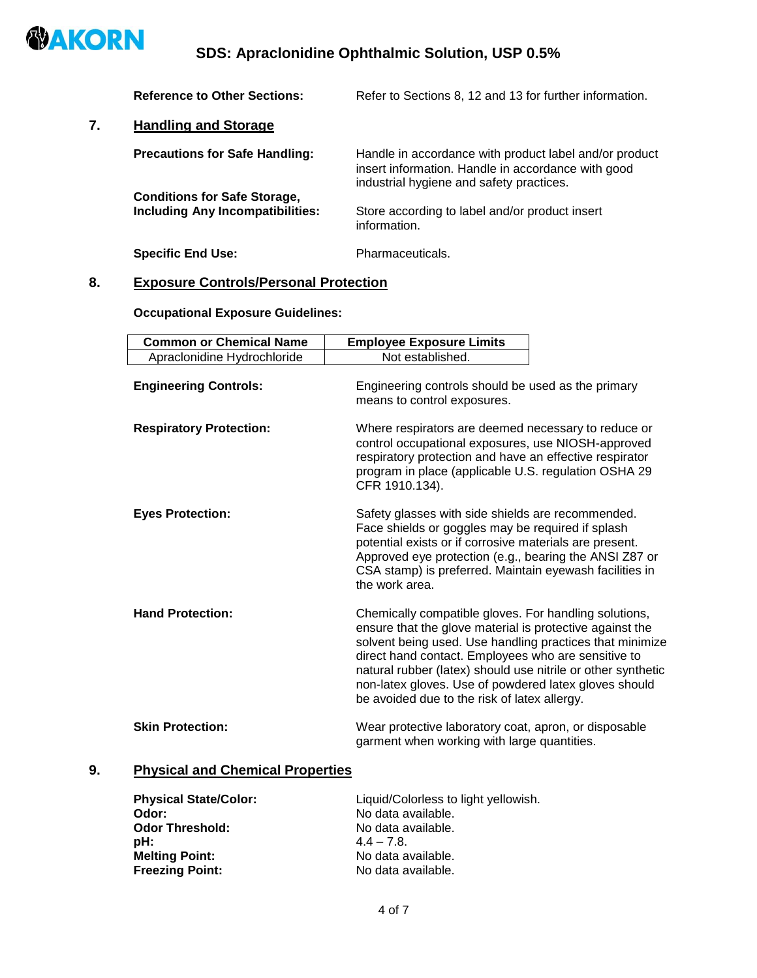

# **SDS: Apraclonidine Ophthalmic Solution, USP 0.5%**

|    | <b>Reference to Other Sections:</b>                                            | Refer to Sections 8, 12 and 13 for further information.                                                                                                  |
|----|--------------------------------------------------------------------------------|----------------------------------------------------------------------------------------------------------------------------------------------------------|
| 7. | <b>Handling and Storage</b>                                                    |                                                                                                                                                          |
|    | <b>Precautions for Safe Handling:</b>                                          | Handle in accordance with product label and/or product<br>insert information. Handle in accordance with good<br>industrial hygiene and safety practices. |
|    | <b>Conditions for Safe Storage,</b><br><b>Including Any Incompatibilities:</b> | Store according to label and/or product insert<br>information.                                                                                           |
|    | <b>Specific End Use:</b>                                                       | Pharmaceuticals.                                                                                                                                         |

# **8. Exposure Controls/Personal Protection**

### **Occupational Exposure Guidelines:**

| <b>Common or Chemical Name</b> | <b>Employee Exposure Limits</b>                                                                                                                                                                                                                                                                                                                                                                               |
|--------------------------------|---------------------------------------------------------------------------------------------------------------------------------------------------------------------------------------------------------------------------------------------------------------------------------------------------------------------------------------------------------------------------------------------------------------|
| Apraclonidine Hydrochloride    | Not established.                                                                                                                                                                                                                                                                                                                                                                                              |
| <b>Engineering Controls:</b>   | Engineering controls should be used as the primary<br>means to control exposures.                                                                                                                                                                                                                                                                                                                             |
| <b>Respiratory Protection:</b> | Where respirators are deemed necessary to reduce or<br>control occupational exposures, use NIOSH-approved<br>respiratory protection and have an effective respirator<br>program in place (applicable U.S. regulation OSHA 29<br>CFR 1910.134).                                                                                                                                                                |
| <b>Eyes Protection:</b>        | Safety glasses with side shields are recommended.<br>Face shields or goggles may be required if splash<br>potential exists or if corrosive materials are present.<br>Approved eye protection (e.g., bearing the ANSI Z87 or<br>CSA stamp) is preferred. Maintain eyewash facilities in<br>the work area.                                                                                                      |
| <b>Hand Protection:</b>        | Chemically compatible gloves. For handling solutions,<br>ensure that the glove material is protective against the<br>solvent being used. Use handling practices that minimize<br>direct hand contact. Employees who are sensitive to<br>natural rubber (latex) should use nitrile or other synthetic<br>non-latex gloves. Use of powdered latex gloves should<br>be avoided due to the risk of latex allergy. |
| <b>Skin Protection:</b>        | Wear protective laboratory coat, apron, or disposable<br>garment when working with large quantities.                                                                                                                                                                                                                                                                                                          |

# **9. Physical and Chemical Properties**

| <b>Physical State/Color:</b> | Liquid/Colorless to light yellowish. |
|------------------------------|--------------------------------------|
| Odor:                        | No data available.                   |
| <b>Odor Threshold:</b>       | No data available.                   |
| pH:                          | $4.4 - 7.8$                          |
| <b>Melting Point:</b>        | No data available.                   |
| <b>Freezing Point:</b>       | No data available.                   |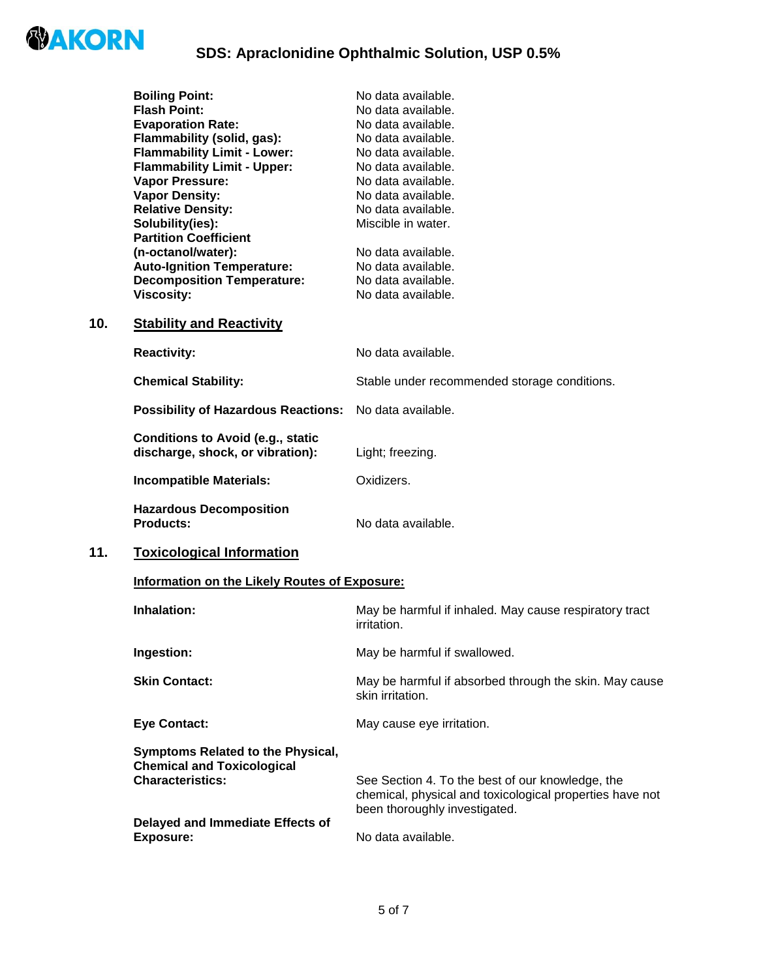

|     | <b>Boiling Point:</b>                                                        | No data available.                           |  |
|-----|------------------------------------------------------------------------------|----------------------------------------------|--|
|     | <b>Flash Point:</b>                                                          | No data available.                           |  |
|     | <b>Evaporation Rate:</b>                                                     | No data available.                           |  |
|     | Flammability (solid, gas):                                                   | No data available.                           |  |
|     | <b>Flammability Limit - Lower:</b>                                           | No data available.                           |  |
|     | <b>Flammability Limit - Upper:</b>                                           | No data available.                           |  |
|     | Vapor Pressure:                                                              | No data available.                           |  |
|     | <b>Vapor Density:</b>                                                        | No data available.                           |  |
|     | <b>Relative Density:</b>                                                     | No data available.                           |  |
|     | Solubility(ies):                                                             | Miscible in water.                           |  |
|     | <b>Partition Coefficient</b>                                                 |                                              |  |
|     | (n-octanol/water):                                                           | No data available.                           |  |
|     | <b>Auto-Ignition Temperature:</b>                                            | No data available.                           |  |
|     | <b>Decomposition Temperature:</b>                                            | No data available.                           |  |
|     | <b>Viscosity:</b>                                                            | No data available.                           |  |
| 10. | <b>Stability and Reactivity</b>                                              |                                              |  |
|     | <b>Reactivity:</b>                                                           | No data available.                           |  |
|     | <b>Chemical Stability:</b>                                                   | Stable under recommended storage conditions. |  |
|     | <b>Possibility of Hazardous Reactions:</b>                                   | No data available.                           |  |
|     | <b>Conditions to Avoid (e.g., static</b><br>discharge, shock, or vibration): | Light; freezing.                             |  |
|     | <b>Incompatible Materials:</b>                                               | Oxidizers.                                   |  |
|     | <b>Hazardous Decomposition</b><br><b>Products:</b>                           | No data available.                           |  |
| 11. | <b>Toxicological Information</b>                                             |                                              |  |
|     | Information on the Likely Routes of Exposure:                                |                                              |  |
|     |                                                                              |                                              |  |

| Inhalation:                                                                                       | May be harmful if inhaled. May cause respiratory tract<br>irritation.                                                                         |
|---------------------------------------------------------------------------------------------------|-----------------------------------------------------------------------------------------------------------------------------------------------|
| Ingestion:                                                                                        | May be harmful if swallowed.                                                                                                                  |
| <b>Skin Contact:</b>                                                                              | May be harmful if absorbed through the skin. May cause<br>skin irritation.                                                                    |
| <b>Eye Contact:</b>                                                                               | May cause eye irritation.                                                                                                                     |
| Symptoms Related to the Physical,<br><b>Chemical and Toxicological</b><br><b>Characteristics:</b> | See Section 4. To the best of our knowledge, the<br>chemical, physical and toxicological properties have not<br>been thoroughly investigated. |
| Delayed and Immediate Effects of<br>Exposure:                                                     | No data available.                                                                                                                            |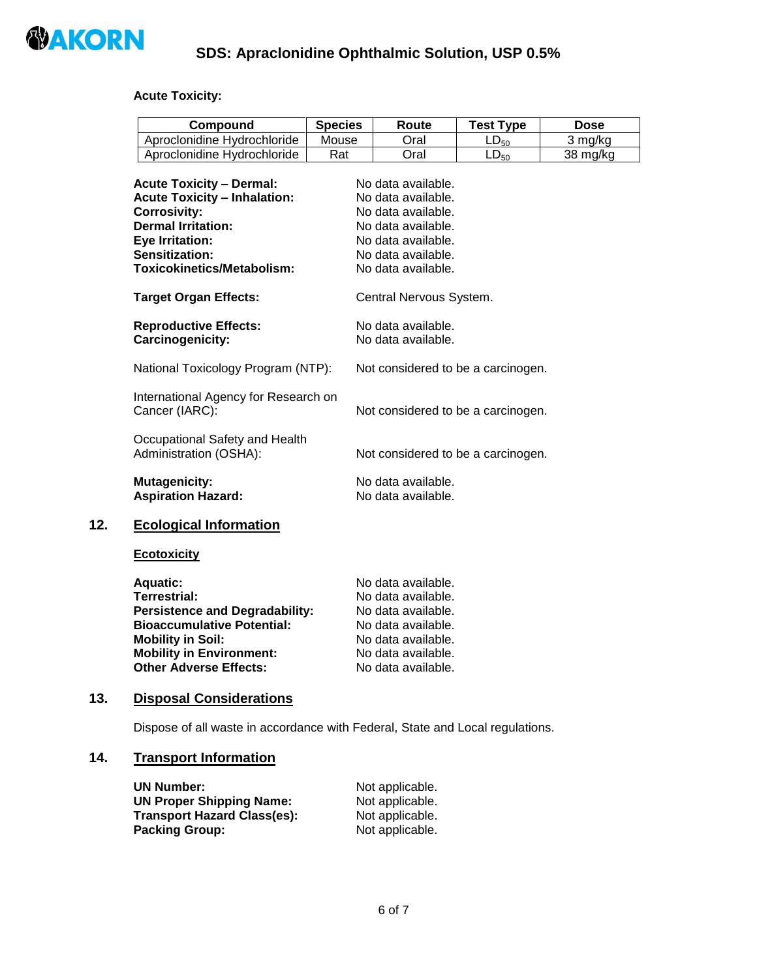

#### **Acute Toxicity:**

| <b>Compound</b>             | <b>Species</b> | Route | <b>Test Type</b> | Dose     |
|-----------------------------|----------------|-------|------------------|----------|
| Aproclonidine Hydrochloride | Mouse          | วral  | $L_{\nu_{50}}$   | 3 mg/kg  |
| Aproclonidine Hydrochloride | Rat            | วral  | ∟∟ <sub>50</sub> | 38 ma/ka |

| <b>Acute Toxicity - Dermal:</b><br><b>Acute Toxicity - Inhalation:</b><br><b>Corrosivity:</b><br><b>Dermal Irritation:</b><br><b>Eye Irritation:</b><br>Sensitization:<br>Toxicokinetics/Metabolism: | No data available.<br>No data available.<br>No data available.<br>No data available.<br>No data available.<br>No data available.<br>No data available. |
|------------------------------------------------------------------------------------------------------------------------------------------------------------------------------------------------------|--------------------------------------------------------------------------------------------------------------------------------------------------------|
| <b>Target Organ Effects:</b>                                                                                                                                                                         | Central Nervous System.                                                                                                                                |
| <b>Reproductive Effects:</b><br>Carcinogenicity:                                                                                                                                                     | No data available.<br>No data available.                                                                                                               |
| National Toxicology Program (NTP):                                                                                                                                                                   | Not considered to be a carcinogen.                                                                                                                     |
| International Agency for Research on<br>Cancer (IARC):                                                                                                                                               | Not considered to be a carcinogen.                                                                                                                     |
| Occupational Safety and Health<br>Administration (OSHA):                                                                                                                                             | Not considered to be a carcinogen.                                                                                                                     |
| <b>Mutagenicity:</b><br><b>Aspiration Hazard:</b>                                                                                                                                                    | No data available.<br>No data available.                                                                                                               |

### **12. Ecological Information**

#### **Ecotoxicity**

| <b>Aquatic:</b>                       | No data available. |
|---------------------------------------|--------------------|
| <b>Terrestrial:</b>                   | No data available. |
| <b>Persistence and Degradability:</b> | No data available. |
| <b>Bioaccumulative Potential:</b>     | No data available. |
| <b>Mobility in Soil:</b>              | No data available. |
| <b>Mobility in Environment:</b>       | No data available. |
| <b>Other Adverse Effects:</b>         | No data available. |

#### **13. Disposal Considerations**

Dispose of all waste in accordance with Federal, State and Local regulations.

### **14. Transport Information**

| <b>UN Number:</b>                  | Not applicable. |
|------------------------------------|-----------------|
| <b>UN Proper Shipping Name:</b>    | Not applicable. |
| <b>Transport Hazard Class(es):</b> | Not applicable. |
| <b>Packing Group:</b>              | Not applicable. |